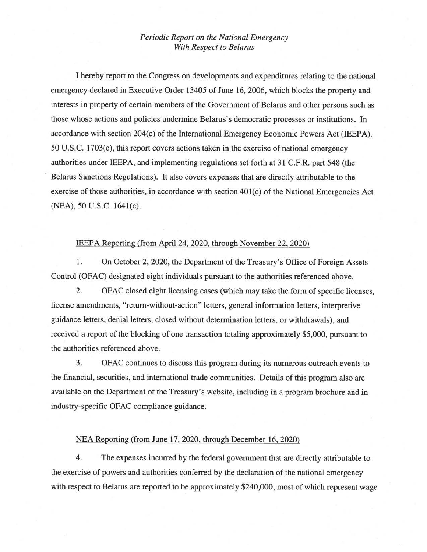## *Periodic Report on the National Emergency With Respect to Belarus*

I hereby report to the Congress on developments and expenditures relating to the national emergency declared in Executive Order 13405 of June 16, 2006, which blocks the property and interests in property of certain members of the Government of Belarus and other persons such as those whose actions and policies undermine Belarus's democratic processes or institutions. In accordance with section 204(c) of the International Emergency Economic Powers Act (IEEPA), 50 U.S.C. 1703(c), this report covers actions taken in the exercise of national emergency authorities under IEEPA, and implementing regulations set forth at 31 C.F.R. part 548 (the Belarus Sanctions Regulations). It also covers expenses that are directly attributable to the exercise of those authorities, in accordance with section 401(c) of the National Emergencies Act (NEA), 50 U.S.C. 1641(c).

## IEEPA Reporting (from April 24, 2020, through November 22, 2020)

1. On October 2, 2020, the Department of the Treasury's Office of Foreign Assets Control (OFAC) designated eight individuals pursuant to the authorities referenced above.

2. OFAC closed eight licensing cases (which may take the form of specific licenses, license amendments, "return-without-action" letters, general information letters, interpretive guidance letters, denial letters, closed without determination letters, or withdrawals), and received a report of the blocking of one transaction totaling approximately \$5,000, pursuant to the authorities referenced above.

3. OFAC continues to discuss this program during its numerous outreach events to the financial, securities, and international trade communities. Details of this program also are available on the Department of the Treasury's website, including in a program brochure and in industry-specific OFAC compliance guidance.

## NEA Reporting (from June 17,2020, through December 16, 2020)

4. The expenses incurred by the federal government that are directly attributable to the exercise of powers and authorities conferred by the declaration of the national emergency with respect to Belarus are reported to be approximately \$240,000, most of which represent wage